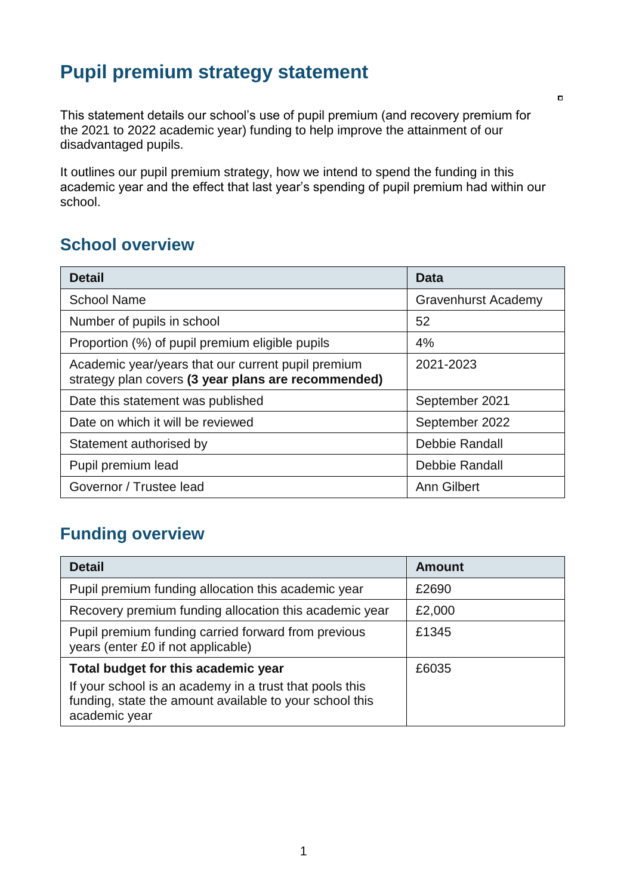## **Pupil premium strategy statement**

This statement details our school's use of pupil premium (and recovery premium for the 2021 to 2022 academic year) funding to help improve the attainment of our disadvantaged pupils.

It outlines our pupil premium strategy, how we intend to spend the funding in this academic year and the effect that last year's spending of pupil premium had within our school.

### **School overview**

| <b>Detail</b>                                                                                             | Data                       |
|-----------------------------------------------------------------------------------------------------------|----------------------------|
| <b>School Name</b>                                                                                        | <b>Gravenhurst Academy</b> |
| Number of pupils in school                                                                                | 52                         |
| Proportion (%) of pupil premium eligible pupils                                                           | 4%                         |
| Academic year/years that our current pupil premium<br>strategy plan covers (3 year plans are recommended) | 2021-2023                  |
| Date this statement was published                                                                         | September 2021             |
| Date on which it will be reviewed                                                                         | September 2022             |
| Statement authorised by                                                                                   | Debbie Randall             |
| Pupil premium lead                                                                                        | Debbie Randall             |
| Governor / Trustee lead                                                                                   | <b>Ann Gilbert</b>         |

### **Funding overview**

| <b>Detail</b>                                                                                                                       | <b>Amount</b> |
|-------------------------------------------------------------------------------------------------------------------------------------|---------------|
| Pupil premium funding allocation this academic year                                                                                 | £2690         |
| Recovery premium funding allocation this academic year                                                                              | £2,000        |
| Pupil premium funding carried forward from previous<br>years (enter £0 if not applicable)                                           | £1345         |
| Total budget for this academic year                                                                                                 | £6035         |
| If your school is an academy in a trust that pools this<br>funding, state the amount available to your school this<br>academic year |               |

 $\Box$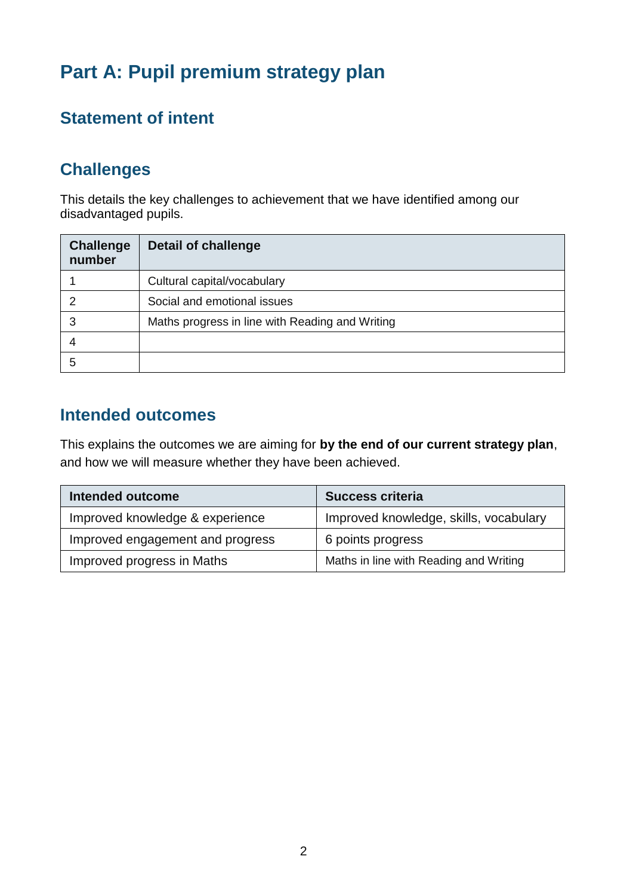# **Part A: Pupil premium strategy plan**

## **Statement of intent**

### **Challenges**

This details the key challenges to achievement that we have identified among our disadvantaged pupils.

| <b>Challenge</b><br>number | <b>Detail of challenge</b>                      |
|----------------------------|-------------------------------------------------|
|                            | Cultural capital/vocabulary                     |
|                            | Social and emotional issues                     |
| 3                          | Maths progress in line with Reading and Writing |
|                            |                                                 |
| 5                          |                                                 |

## **Intended outcomes**

This explains the outcomes we are aiming for **by the end of our current strategy plan**, and how we will measure whether they have been achieved.

| <b>Intended outcome</b>          | <b>Success criteria</b>                |
|----------------------------------|----------------------------------------|
| Improved knowledge & experience  | Improved knowledge, skills, vocabulary |
| Improved engagement and progress | 6 points progress                      |
| Improved progress in Maths       | Maths in line with Reading and Writing |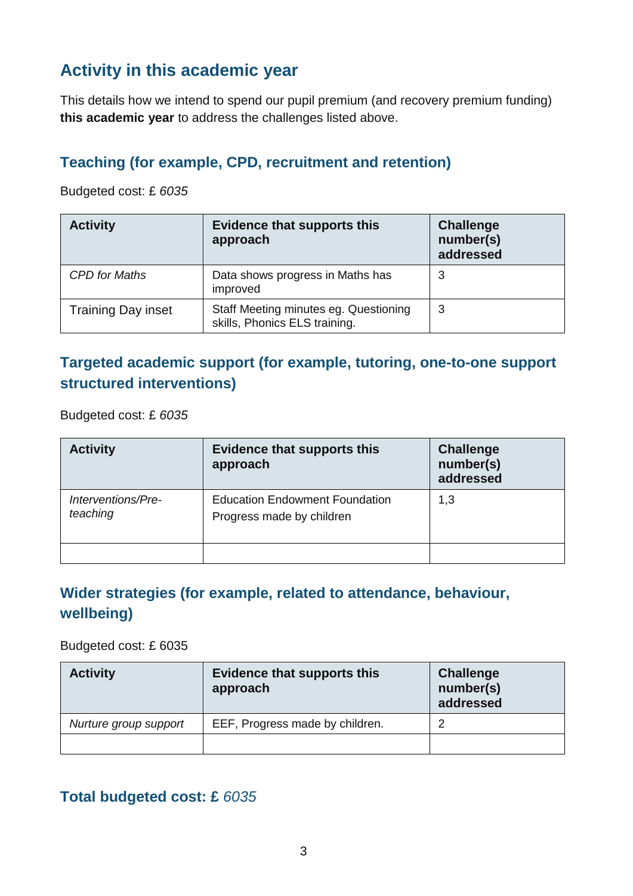### **Activity in this academic year**

This details how we intend to spend our pupil premium (and recovery premium funding) **this academic year** to address the challenges listed above.

#### **Teaching (for example, CPD, recruitment and retention)**

Budgeted cost: £ *6035*

| <b>Activity</b>           | <b>Evidence that supports this</b><br>approach                         | <b>Challenge</b><br>number(s)<br>addressed |
|---------------------------|------------------------------------------------------------------------|--------------------------------------------|
| <b>CPD</b> for Maths      | Data shows progress in Maths has<br>improved                           | 3                                          |
| <b>Training Day inset</b> | Staff Meeting minutes eg. Questioning<br>skills, Phonics ELS training. | 3                                          |

### **Targeted academic support (for example, tutoring, one-to-one support structured interventions)**

Budgeted cost: £ *6035*

| <b>Activity</b>                | <b>Evidence that supports this</b><br>approach                     | <b>Challenge</b><br>number(s)<br>addressed |
|--------------------------------|--------------------------------------------------------------------|--------------------------------------------|
| Interventions/Pre-<br>teaching | <b>Education Endowment Foundation</b><br>Progress made by children | 1,3                                        |
|                                |                                                                    |                                            |

#### **Wider strategies (for example, related to attendance, behaviour, wellbeing)**

Budgeted cost: £ 6035

| <b>Activity</b>       | <b>Evidence that supports this</b><br>approach | Challenge<br>number(s)<br>addressed |
|-----------------------|------------------------------------------------|-------------------------------------|
| Nurture group support | EEF, Progress made by children.                | 2                                   |
|                       |                                                |                                     |

#### **Total budgeted cost: £** *6035*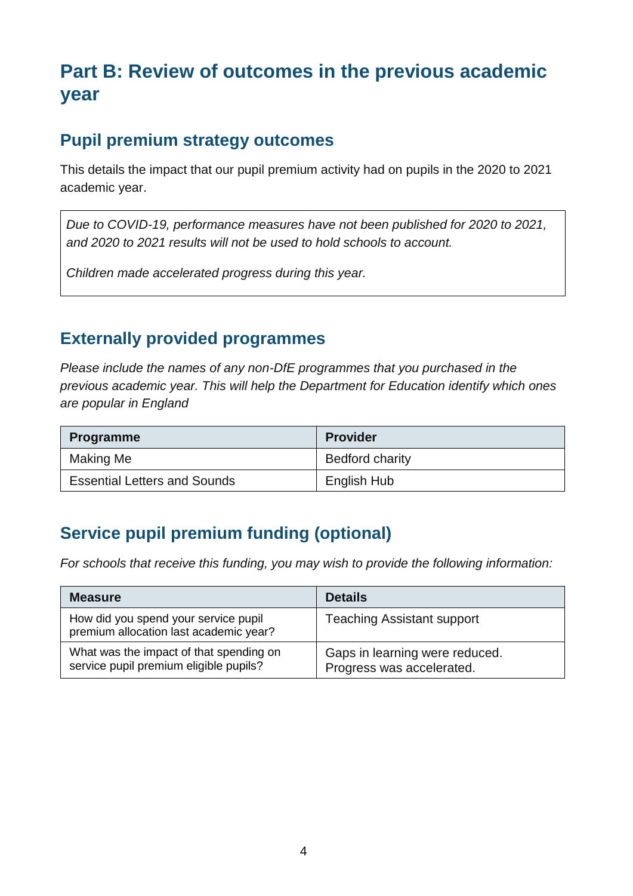# **Part B: Review of outcomes in the previous academic year**

### **Pupil premium strategy outcomes**

This details the impact that our pupil premium activity had on pupils in the 2020 to 2021 academic year.

*Due to COVID-19, performance measures have not been published for 2020 to 2021, and 2020 to 2021 results will not be used to hold schools to account.* 

*Children made accelerated progress during this year.*

### **Externally provided programmes**

*Please include the names of any non-DfE programmes that you purchased in the previous academic year. This will help the Department for Education identify which ones are popular in England*

| <b>Programme</b>                    | <b>Provider</b>        |
|-------------------------------------|------------------------|
| Making Me                           | <b>Bedford charity</b> |
| <b>Essential Letters and Sounds</b> | English Hub            |

## **Service pupil premium funding (optional)**

*For schools that receive this funding, you may wish to provide the following information:* 

| <b>Measure</b>                                                                    | <b>Details</b>                                              |
|-----------------------------------------------------------------------------------|-------------------------------------------------------------|
| How did you spend your service pupil<br>premium allocation last academic year?    | <b>Teaching Assistant support</b>                           |
| What was the impact of that spending on<br>service pupil premium eligible pupils? | Gaps in learning were reduced.<br>Progress was accelerated. |